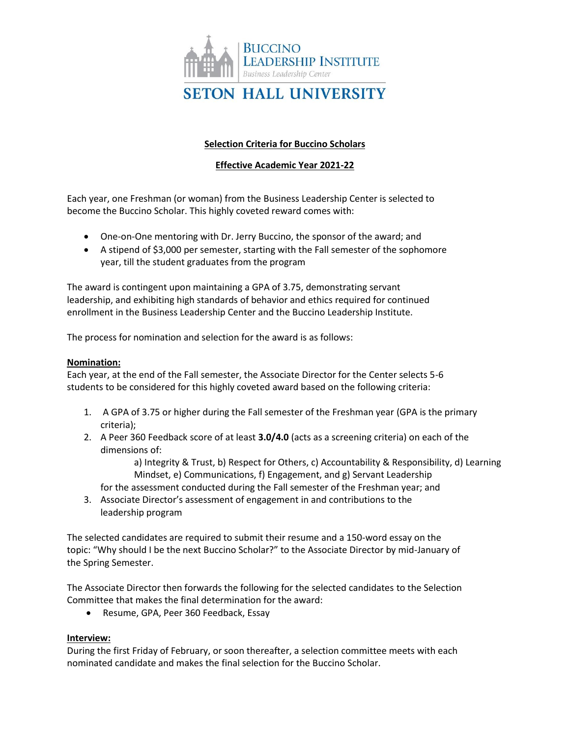

# **Selection Criteria for Buccino Scholars**

## **Effective Academic Year 2021-22**

Each year, one Freshman (or woman) from the Business Leadership Center is selected to become the Buccino Scholar. This highly coveted reward comes with:

- One-on-One mentoring with Dr. Jerry Buccino, the sponsor of the award; and
- A stipend of \$3,000 per semester, starting with the Fall semester of the sophomore year, till the student graduates from the program

The award is contingent upon maintaining a GPA of 3.75, demonstrating servant leadership, and exhibiting high standards of behavior and ethics required for continued enrollment in the Business Leadership Center and the Buccino Leadership Institute.

The process for nomination and selection for the award is as follows:

### **Nomination:**

Each year, at the end of the Fall semester, the Associate Director for the Center selects 5-6 students to be considered for this highly coveted award based on the following criteria:

- 1. A GPA of 3.75 or higher during the Fall semester of the Freshman year (GPA is the primary criteria);
- 2. A Peer 360 Feedback score of at least **3.0/4.0** (acts as a screening criteria) on each of the dimensions of:

a) Integrity & Trust, b) Respect for Others, c) Accountability & Responsibility, d) Learning Mindset, e) Communications, f) Engagement, and g) Servant Leadership

for the assessment conducted during the Fall semester of the Freshman year; and

3. Associate Director's assessment of engagement in and contributions to the leadership program

The selected candidates are required to submit their resume and a 150-word essay on the topic: "Why should I be the next Buccino Scholar?" to the Associate Director by mid-January of the Spring Semester.

The Associate Director then forwards the following for the selected candidates to the Selection Committee that makes the final determination for the award:

• Resume, GPA, Peer 360 Feedback, Essay

### **Interview:**

During the first Friday of February, or soon thereafter, a selection committee meets with each nominated candidate and makes the final selection for the Buccino Scholar.